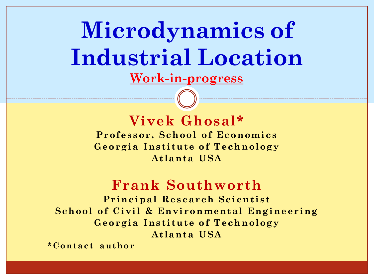**Microdynamics of Industrial Location Work-in-progress**

### **Vivek Ghosal\***

**Professor, School of Economics Georgia Institute of Technology Atlanta USA**

### **Frank Southworth**

**Principal Research Scientist School of Civil & Environmental Engineering Georgia Institute of Technology Atlanta USA**

**\*Contact author**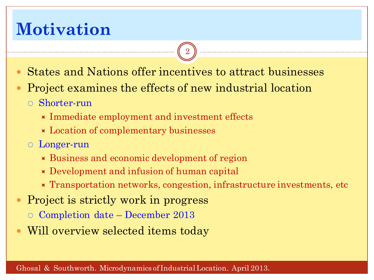## **Motivation**

States and Nations offer incentives to attract businesses

- Project examines the effects of new industrial location
	- Shorter-run
		- $\times$  Immediate employment and investment effects
		- **Location of complementary businesses**
	- Longer-run
		- Business and economic development of region
		- Development and infusion of human capital
		- **Transportation networks, congestion, infrastructure investments, etc**
- Project is strictly work in progress
	- $\circ$  Completion date December 2013
- Will overview selected items today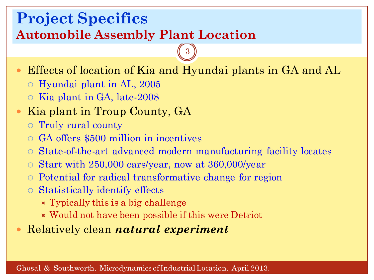### **Project Specifics Automobile Assembly Plant Location**

Effects of location of Kia and Hyundai plants in GA and AL

- Hyundai plant in AL, 2005
- Kia plant in GA, late-2008
- Kia plant in Troup County, GA
	- Truly rural county
	- GA offers \$500 million in incentives
	- State-of-the-art advanced modern manufacturing facility locates
	- $\circ$  Start with 250,000 cars/year, now at 360,000/year
	- Potential for radical transformative change for region
	- Statistically identify effects
		- $\times$  Typically this is a big challenge
		- Would not have been possible if this were Detriot
- Relatively clean *natural experiment*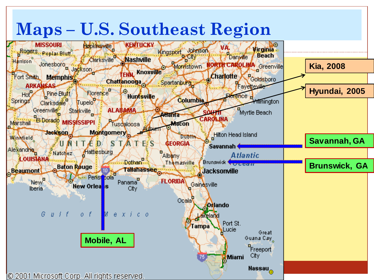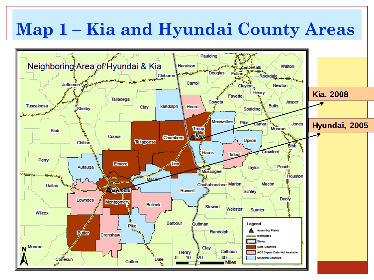#### **Map 1 – Kia and Hyundai County Areas** 5 Paulding Neighboring Area of Hyundai & Kia **Haralson** Walton **DeKalb Douglas** Fulton Rockdale Cleburne Carroll Jefferson<sup>2</sup> Clayton. **Newton** Henry **Kia, 2008** Fayette **Talladega** Coweta Jasper **Tuscaloosa** Randolph **Butts** Clav Heard Shelby Spalding **Meriwether Pike** Lamar **Jones Hyundai, 2005**Monroe **Tout Bibb** Coosa **Chambers** Upson Tallapoosa Chilton. **Bibb** Crawford Harris Talbot Perry Lee **Elmore** Autauga Peach **Taylor Muscogee Houston** Mace **Chattahoochee Marion** Macon **Dallas Comdat Russell Schley Dooly** Lowndes **Montgomery Bullock Stewart** Webster Sumter **Wilcox Barbour** Legend Quitman **Pike** ssembly Plants Randolph **Butler** Crenshaw **Monroe** Clay **Counties** Calhoun Henry C3 3-year Data Not Available 40 10 20 **Selected Counties** Dale Conecuh Coffee **Miles**  $\mathcal{L}$  decreases of Industrial Location. Microdynamics of Industrial Location. Application. Application. Application. Application. Application. Application. Application. Application. Application. Application. Applicatio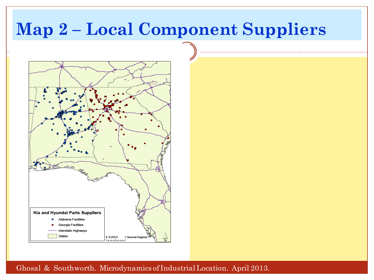### **Map 2 – Local Component Suppliers**



Ghosal & Southworth. Microdynamics of Industrial Location. April 2013.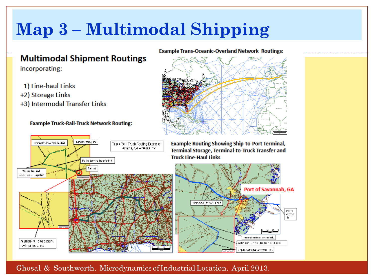# **Map 3 – Multimodal Shipping**

Truck Roll Thuck Routing Example Atlanta, CA - Dallas, TX

### **Multimodal Shipment Routings**

incorporating:

1) Line-haul Links

termatic base zaisterink

- +2) Storage Links
- +3) Intermodal Transfer Links

#### **Example Truck-Rail-Truck Network Routing:**

Highway "crushing".





**Example Routing Showing Ship-to-Port Terminal,** Terminal Storage, Terminal-to-Truck Transfer and **Truck Line-Haul Links** 



### Ghosal & Southworth. Microdynamics of Industrial Location. April 2013.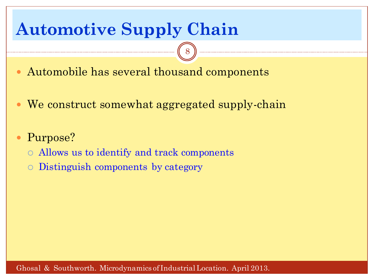## **Automotive Supply Chain**

- Automobile has several thousand components
- We construct somewhat aggregated supply-chain

- Purpose?
	- Allows us to identify and track components
	- Distinguish components by category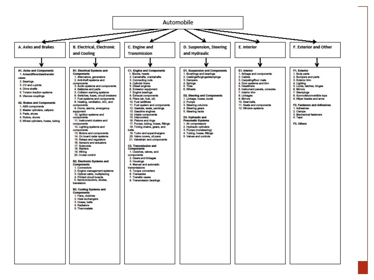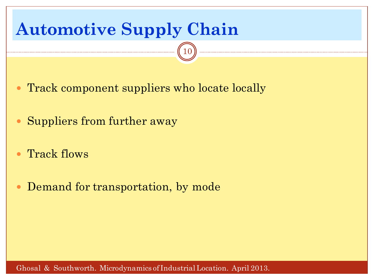

- Track flows
- Demand for transportation, by mode

Ghosal & Southworth. Microdynamics of Industrial Location. April 2013.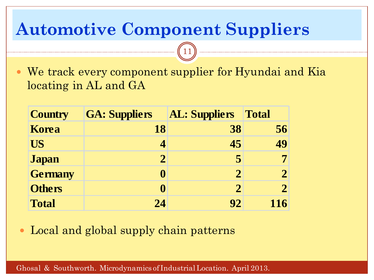## **Automotive Component Suppliers**

 We track every component supplier for Hyundai and Kia locating in AL and GA

11

| <b>Country</b> | <b>GA: Suppliers</b> | <b>AL: Suppliers</b> | <b>Total</b> |
|----------------|----------------------|----------------------|--------------|
| <b>Korea</b>   | 18                   | 38                   | 56           |
| <b>US</b>      | 4                    | 45                   | 49           |
| <b>Japan</b>   | $\mathbf 2$          | 5                    |              |
| <b>Germany</b> | 0                    | $\mathcal{D}$        |              |
| <b>Others</b>  | 0                    | $\mathcal{D}$        |              |
| <b>Total</b>   | 24                   | 92                   | 116          |

Local and global supply chain patterns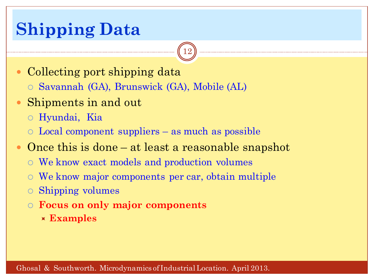## **Shipping Data**

- Collecting port shipping data
	- Savannah (GA), Brunswick (GA), Mobile (AL)
- Shipments in and out
	- Hyundai, Kia
	- Local component suppliers as much as possible
- Once this is done at least a reasonable snapshot

- We know exact models and production volumes
- We know major components per car, obtain multiple
- Shipping volumes
- **Focus on only major components**
	- **Examples**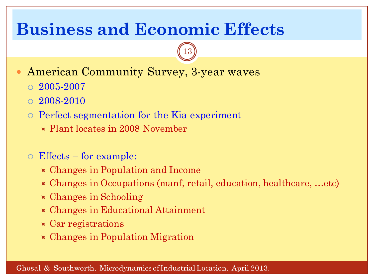### **Business and Economic Effects**

- American Community Survey, 3-year waves
	- $\circ$  2005-2007
	- 2008-2010
	- Perfect segmentation for the Kia experiment
		- Plant locates in 2008 November
	- Effects for example:
		- Changes in Population and Income
		- Changes in Occupations (manf, retail, education, healthcare, …etc)

- Changes in Schooling
- Changes in Educational Attainment
- Car registrations
- Changes in Population Migration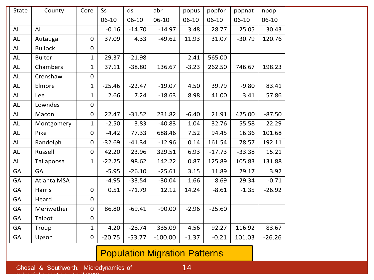| <b>State</b> | County         | Core             | <b>Ss</b> | ds       | abr       | popus     | popfor   | popnat    | npop      |
|--------------|----------------|------------------|-----------|----------|-----------|-----------|----------|-----------|-----------|
|              |                |                  | $06-10$   | $06-10$  | $06-10$   | $06 - 10$ | $06-10$  | $06 - 10$ | $06 - 10$ |
| AL           | <b>AL</b>      |                  | $-0.16$   | $-14.70$ | $-14.97$  | 3.48      | 28.77    | 25.05     | 30.43     |
| AL           | Autauga        | 0                | 37.09     | 4.33     | $-49.62$  | 11.93     | 31.07    | $-30.79$  | 120.76    |
| <b>AL</b>    | <b>Bullock</b> | $\boldsymbol{0}$ |           |          |           |           |          |           |           |
| <b>AL</b>    | <b>Bulter</b>  | $\mathbf{1}$     | 29.37     | $-21.98$ |           | 2.41      | 565.00   |           |           |
| <b>AL</b>    | Chambers       | $\mathbf{1}$     | 37.11     | $-38.80$ | 136.67    | $-3.23$   | 262.50   | 746.67    | 198.23    |
| <b>AL</b>    | Crenshaw       | 0                |           |          |           |           |          |           |           |
| <b>AL</b>    | Elmore         | $\mathbf{1}$     | $-25.46$  | $-22.47$ | $-19.07$  | 4.50      | 39.79    | $-9.80$   | 83.41     |
| <b>AL</b>    | Lee            | $\mathbf{1}$     | 2.66      | 7.24     | $-18.63$  | 8.98      | 41.00    | 3.41      | 57.86     |
| AL           | Lowndes        | $\mathbf 0$      |           |          |           |           |          |           |           |
| <b>AL</b>    | Macon          | $\mathbf 0$      | 22.47     | $-31.52$ | 231.82    | $-6.40$   | 21.91    | 425.00    | $-87.50$  |
| AL           | Montgomery     | $\mathbf{1}$     | $-2.50$   | 3.83     | $-40.83$  | 1.04      | 32.76    | 55.58     | 22.29     |
| <b>AL</b>    | Pike           | $\pmb{0}$        | $-4.42$   | 77.33    | 688.46    | 7.52      | 94.45    | 16.36     | 101.68    |
| AL           | Randolph       | $\mathbf 0$      | $-32.69$  | $-41.34$ | $-12.96$  | 0.14      | 161.54   | 78.57     | 192.11    |
| AL           | Russell        | $\mathbf 0$      | 42.20     | 23.96    | 329.51    | 6.93      | $-17.73$ | $-33.38$  | 15.21     |
| AL           | Tallapoosa     | $\mathbf{1}$     | $-22.25$  | 98.62    | 142.22    | 0.87      | 125.89   | 105.83    | 131.88    |
| <b>GA</b>    | <b>GA</b>      |                  | $-5.95$   | $-26.10$ | $-25.61$  | 3.15      | 11.89    | 29.17     | 3.92      |
| <b>GA</b>    | Atlanta MSA    |                  | $-4.95$   | $-33.54$ | $-30.04$  | 1.66      | 8.69     | 29.34     | $-0.71$   |
| <b>GA</b>    | <b>Harris</b>  | $\mathbf 0$      | 0.51      | $-71.79$ | 12.12     | 14.24     | $-8.61$  | $-1.35$   | $-26.92$  |
| <b>GA</b>    | Heard          | $\mathbf 0$      |           |          |           |           |          |           |           |
| GA           | Meriwether     | $\boldsymbol{0}$ | 86.80     | $-69.41$ | $-90.00$  | $-2.96$   | $-25.60$ |           |           |
| <b>GA</b>    | Talbot         | $\boldsymbol{0}$ |           |          |           |           |          |           |           |
| <b>GA</b>    | Troup          | $\mathbf{1}$     | 4.20      | $-28.74$ | 335.09    | 4.56      | 92.27    | 116.92    | 83.67     |
| GA           | Upson          | $\boldsymbol{0}$ | $-20.75$  | $-53.77$ | $-100.00$ | $-1.37$   | $-0.21$  | 101.03    | $-26.26$  |

### Population Migration Patterns

Industrial Location. April 2013.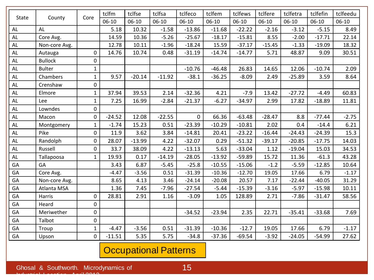| <b>State</b>  |                |                  | tclfm    | tclfse   | tclfsa   | tclfeco     | tclfem   | tclfews  | tclfere  | tclfetra | tclfefin | tclfeedu |
|---------------|----------------|------------------|----------|----------|----------|-------------|----------|----------|----------|----------|----------|----------|
|               | County         | Core             | 06-10    | $06-10$  | $06-10$  | $06-10$     | $06-10$  | $06-10$  | $06-10$  | $06-10$  | $06-10$  | $06-10$  |
| AL            | AL             |                  | 5.18     | 10.32    | $-1.58$  | $-13.86$    | $-11.68$ | $-22.22$ | $-2.16$  | $-3.12$  | $-5.15$  | 8.49     |
| AL            | Core Avg.      |                  | 14.59    | 10.36    | $-5.26$  | $-25.67$    | $-18.17$ | $-15.81$ | 8.55     | $-2.00$  | $-17.71$ | 22.14    |
| AL            | Non-core Avg.  |                  | 12.78    | 10.11    | $-1.96$  | $-18.24$    | 15.59    | $-37.17$ | $-15.45$ | $-1.33$  | $-19.09$ | 18.32    |
| AL            | Autauga        | 0                | 14.76    | 10.74    | 0.48     | $-31.19$    | $-14.74$ | $-14.77$ | 5.71     | 48.87    | 9.09     | 30.51    |
| AL            | <b>Bullock</b> | $\mathbf 0$      |          |          |          |             |          |          |          |          |          |          |
| AL            | <b>Bulter</b>  | $\mathbf{1}$     |          |          |          | $-10.76$    | $-46.48$ | 26.83    | 14.65    | 12.06    | $-10.74$ | 2.09     |
| AL            | Chambers       | $\mathbf{1}$     | 9.57     | $-20.14$ | $-11.92$ | $-38.1$     | $-36.25$ | $-8.09$  | 2.49     | $-25.89$ | 3.59     | 8.64     |
| AL            | Crenshaw       | $\mathbf 0$      |          |          |          |             |          |          |          |          |          |          |
| AL            | Elmore         | $\mathbf{1}$     | 37.94    | 39.53    | 2.14     | $-32.36$    | 4.21     | $-7.9$   | 13.42    | $-27.72$ | $-4.49$  | 60.83    |
| AL            | Lee            | $\mathbf{1}$     | 7.25     | 16.99    | $-2.84$  | $-21.37$    | $-6.27$  | $-34.97$ | 2.99     | 17.82    | $-18.89$ | 11.81    |
| AL            | Lowndes        | $\boldsymbol{0}$ |          |          |          |             |          |          |          |          |          |          |
| AL            | Macon          | $\mathbf 0$      | $-24.52$ | 12.08    | $-22.55$ | $\mathbf 0$ | 66.36    | $-63.48$ | $-28.47$ | 8.8      | $-77.44$ | $-2.75$  |
| AL            | Montgomery     | $\mathbf{1}$     | $-1.74$  | 15.23    | 0.51     | $-23.39$    | $-10.29$ | $-10.81$ | 2.02     | 0.4      | $-14.4$  | 6.21     |
| $\mathsf{AL}$ | Pike           | $\mathbf 0$      | 11.9     | 3.62     | 3.84     | $-14.81$    | 20.41    | $-23.22$ | $-16.44$ | $-24.43$ | $-24.39$ | 15.3     |
| AL            | Randolph       | $\mathbf 0$      | 28.07    | $-13.99$ | 4.22     | $-32.07$    | 0.29     | $-51.32$ | $-39.17$ | $-20.85$ | $-17.75$ | 14.03    |
| AL            | Russell        | $\pmb{0}$        | 33.7     | 38.09    | 4.22     | $-13.13$    | 5.63     | $-33.04$ | 1.12     | $-19.04$ | 15.03    | 34.53    |
| AL            | Tallapoosa     | $\mathbf{1}$     | 19.93    | 0.17     | $-14.19$ | $-28.05$    | $-13.92$ | $-59.89$ | 15.72    | 11.36    | $-61.3$  | 43.28    |
| GA            | GA             |                  | 3.43     | 6.87     | $-5.45$  | $-25.8$     | $-10.55$ | $-15.06$ | $-1.2$   | $-5.59$  | $-12.85$ | 10.64    |
| GA            | Core Avg.      |                  | $-4.47$  | $-3.56$  | 0.51     | $-31.39$    | $-10.36$ | $-12.70$ | 19.05    | 17.66    | 6.79     | $-1.17$  |
| GA            | Non-core Avg.  |                  | 8.65     | 4.13     | 3.46     | $-24.14$    | $-20.08$ | 20.57    | 7.17     | $-22.44$ | $-40.05$ | 31.29    |
| GA            | Atlanta MSA    |                  | 1.36     | 7.45     | $-7.96$  | $-27.54$    | $-5.44$  | $-15.39$ | $-3.16$  | $-5.97$  | $-15.98$ | 10.11    |
| GA            | Harris         | $\pmb{0}$        | 28.81    | 2.91     | 1.16     | $-3.09$     | 1.05     | 128.89   | 2.71     | $-7.86$  | $-31.47$ | 58.56    |
| GA            | Heard          | $\pmb{0}$        |          |          |          |             |          |          |          |          |          |          |
| GA            | Meriwether     | $\mathbf 0$      |          |          |          | $-34.52$    | $-23.94$ | 2.35     | 22.71    | $-35.41$ | $-33.68$ | 7.69     |
| GA            | Talbot         | $\mathbf 0$      |          |          |          |             |          |          |          |          |          |          |
| GA            | Troup          | $\mathbf{1}$     | $-4.47$  | $-3.56$  | 0.51     | $-31.39$    | $-10.36$ | $-12.7$  | 19.05    | 17.66    | 6.79     | $-1.17$  |
| GA            | Upson          | $\mathbf 0$      | $-11.51$ | 5.35     | 5.75     | $-34.8$     | $-37.36$ | $-69.54$ | $-3.92$  | $-24.05$ | $-54.99$ | 27.62    |

### Occupational Patterns

Industrial Location. April 2013.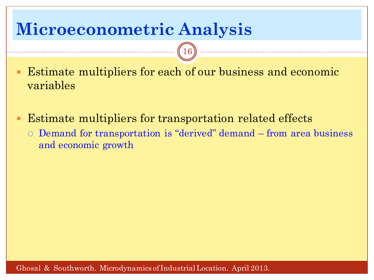## **Microeconometric Analysis**

 Estimate multipliers for each of our business and economic variables

- Estimate multipliers for transportation related effects
	- Demand for transportation is "derived" demand from area business and economic growth